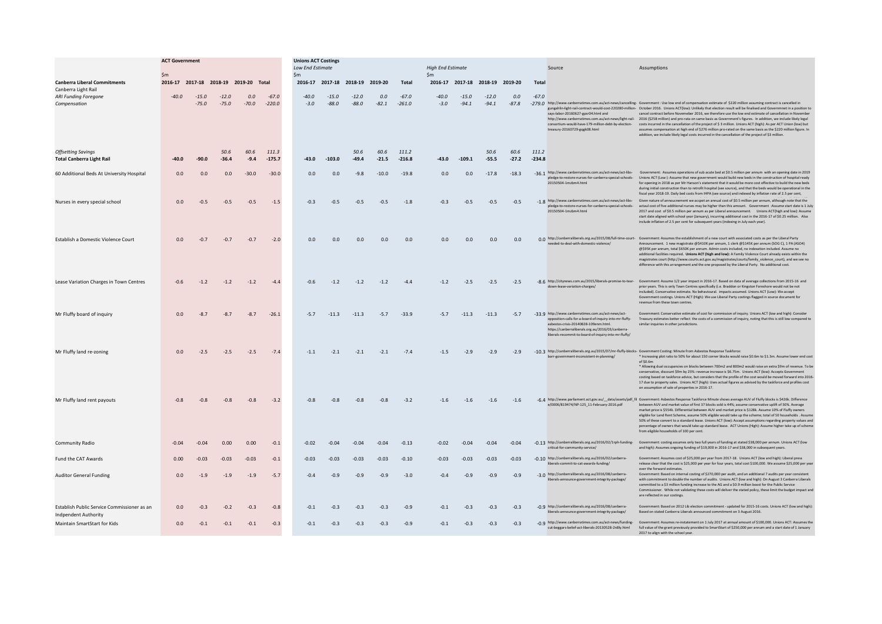|                                                                            | <b>ACT Government</b> |                    |                    |                                       |                     | <b>Unions ACT Costings</b>                |                    |                                 |                 |                     |                                   |                    |                                 |                 |                   |                                                                                                                                                                                                                                                                       |                                                                                                                                                                                                                                                                                                                                                                                                                                                                                                                                                                                                                                                                                                                                                                                                                                                                                                                                                                                                                               |
|----------------------------------------------------------------------------|-----------------------|--------------------|--------------------|---------------------------------------|---------------------|-------------------------------------------|--------------------|---------------------------------|-----------------|---------------------|-----------------------------------|--------------------|---------------------------------|-----------------|-------------------|-----------------------------------------------------------------------------------------------------------------------------------------------------------------------------------------------------------------------------------------------------------------------|-------------------------------------------------------------------------------------------------------------------------------------------------------------------------------------------------------------------------------------------------------------------------------------------------------------------------------------------------------------------------------------------------------------------------------------------------------------------------------------------------------------------------------------------------------------------------------------------------------------------------------------------------------------------------------------------------------------------------------------------------------------------------------------------------------------------------------------------------------------------------------------------------------------------------------------------------------------------------------------------------------------------------------|
|                                                                            | $\mathsf{Sm}$         |                    |                    |                                       |                     | <b>Low End Estimate</b><br>$\mathsf{S}$ m |                    |                                 |                 |                     | <b>High End Estimate</b><br>\$m\$ |                    |                                 |                 |                   | Source                                                                                                                                                                                                                                                                | Assumptions                                                                                                                                                                                                                                                                                                                                                                                                                                                                                                                                                                                                                                                                                                                                                                                                                                                                                                                                                                                                                   |
| <b>Canberra Liberal Commitments</b><br>Canberra Light Rail                 |                       |                    |                    | 2016-17 2017-18 2018-19 2019-20 Total |                     |                                           |                    | 2016-17 2017-18 2018-19 2019-20 |                 | Total               |                                   |                    | 2016-17 2017-18 2018-19 2019-20 |                 | Total             |                                                                                                                                                                                                                                                                       |                                                                                                                                                                                                                                                                                                                                                                                                                                                                                                                                                                                                                                                                                                                                                                                                                                                                                                                                                                                                                               |
| <b>ARI Funding Foregone</b><br>Compensation                                | $-40.0$               | $-15.0$<br>$-75.0$ | $-12.0$<br>$-75.0$ | 0.0<br>$-70.0$                        | $-67.0$<br>$-220.0$ | $-40.0$<br>$-3.0$                         | $-15.0$<br>$-88.0$ | $-12.0$<br>$-88.0$              | 0.0<br>$-82.1$  | $-67.0$<br>$-261.0$ | $-40.0$<br>$-3.0$                 | $-15.0$<br>$-94.1$ | $-12.0$<br>$-94.1$              | 0.0<br>$-87.8$  | $-67.0$           | says-labor-20160627-gosr04 html and<br>treasury-20160729-gqgk08.html                                                                                                                                                                                                  | -279.0 http://www.canberratimes.com.au/act-news/cancelling- Government : Use low end of compensation estimate of \$220 million assuming contract is cancelled in<br>gungahlin-light-rail-contract-would-cost-220280-million- October 2016. Unions ACT(low): Unlikely that election result will be finalised and Governmnet in a position to<br>cancel contract before Novemeber 2016, we therefore use the low end estimate of cancellation in November<br>http://www.canberratimes.com.au/act-news/light-rail- 2016 (\$258 million) and pro-rata on same basis as Government's figures. In addition, we include likely legal<br>consortium-would-have-179-million-debt-by-election- costs incurred in the cancellation of the project of \$ 3 million. Unions ACT (high): As per ACT Union (low) but<br>assumes compensation at high end of \$276 million pro-rated on the same basis as the \$220 million figure. In<br>addition, we include likely legal costs incurred in the cancellation of the project of \$3 million. |
| <b>Offsetting Savings</b><br><b>Total Canberra Light Rail</b>              | $-40.0$               | $-90.0$            | 50.6<br>$-36.4$    | 60.6<br>$-9.4$                        | 111.3<br>$-175.7$   | $-43.0$                                   | $-103.0$           | 50.6<br>$-49.4$                 | 60.6<br>$-21.5$ | 111.2<br>$-216.8$   | $-43.0$                           | $-109.1$           | 50.6<br>$-55.5$                 | 60.6<br>$-27.2$ | 111.2<br>$-234.8$ |                                                                                                                                                                                                                                                                       |                                                                                                                                                                                                                                                                                                                                                                                                                                                                                                                                                                                                                                                                                                                                                                                                                                                                                                                                                                                                                               |
| 60 Additional Beds At University Hospital                                  | 0.0                   | 0.0                | 0.0                | $-30.0$                               | $-30.0$             | 0.0                                       | 0.0                | $-9.8$                          | $-10.0$         | $-19.8$             | 0.0                               | 0.0                | $-17.8$                         | $-18.3$         |                   | 20150504-1mzbm4.html                                                                                                                                                                                                                                                  | -36.1 http://www.canberratimes.com.au/act-news/act-libs- Government: Assumes operations of sub acute bed at \$0.5 million per annum with an opening date in 2019<br>bledge-to-restore-nurses-for-canberra-special-schools- Unions ACT (Low): Assume that new government would build new beds in the construction of hospital ready<br>for opening in 2018 as per Mr Hanson's statement that it would be more cost effective to build the new beds<br>during initial construction than to retrofit hospital (see source), and that the beds would be operational in the<br>fiscal year 2018-19. Daily bed costs from IHPA (see source) and indexed by inflation rate of 2.5 per cent,                                                                                                                                                                                                                                                                                                                                          |
| Nurses in every special school                                             | 0.0                   | $-0.5$             | $-0.5$             | $-0.5$                                | $-1.5$              | $-0.3$                                    | $-0.5$             | $-0.5$                          | $-0.5$          | $-1.8$              | $-0.3$                            | $-0.5$             | $-0.5$                          | $-0.5$          |                   | pledge-to-restore-nurses-for-canberra-special-schools-<br>20150504-1mzbm4.html                                                                                                                                                                                        | -1.8 http://www.canberratimes.com.au/act-news/act-libs- Given nature of annoucnement we accpet an annual cost of \$0.5 million per annum, although note that the<br>actaul cost of five additional nurses may be higher than this amount. Government :Assume start date is 1 July<br>2017 and cost of \$0.5 million per annum as per Liberal announcement. Unions ACT(high and low): Assume<br>start date aligned with school year (January), incurring additional cost in the 2016-17 of \$0.25 million. Also<br>include inflation of 2.5 per cent for subsequent years (indexing in July each year).                                                                                                                                                                                                                                                                                                                                                                                                                        |
| Establish a Domestic Violence Court                                        | 0.0                   | $-0.7$             | $-0.7$             | $-0.7$                                | $-2.0$              | 0.0                                       | 0.0                | 0.0                             | 0.0             | 0.0                 | 0.0                               | 0.0                | 0.0                             | 0.0             |                   | needed-to-deal-with-domestic-violence/                                                                                                                                                                                                                                | 0.0 http://canberraliberals.org.au/2015/08/full-time-court- Government: Assumes the establishment of a new court with associated costs as per the Liberal Party<br>Announcement. 1 new magistrate @\$410K per annum, 1 clerk @\$145K per annum (SOG C), 1 PA (ASO4)<br>@\$95K per annum, total \$650K per annum. Admin costs included, no indexation included. Assume no<br>additional facilities required. Unions ACT (high and low): A Family Violence Court already exists within the<br>magistrates court (http://www.courts.act.gov.au/magistrates/courts/family_violence_court), and we see no<br>difference with this arrangement and the one proposed by the Liberal Party. No additional cost.                                                                                                                                                                                                                                                                                                                       |
| Lease Variation Charges in Town Centres                                    | $-0.6$                | $-1.2$             | $-1.2$             | $-1.2$                                | $-4.4$              | $-0.6$                                    | $-1.2$             | $-1.2$                          | $-1.2$          | $-4.4$              | $-1.2$                            | $-2.5$             | $-2.5$                          | $-2.5$          |                   | down-lease-variation-charges/                                                                                                                                                                                                                                         | -8.6 http://citynews.com.au/2015/liberals-promise-to-tear- Government: Assume 1/2 year impact in 2016-17. Based on data of average collections from 2015-16 and<br>prior years. This is only Town Centres specifically (i.e. Braddon or Kingston Foreshore would not be not<br>included). Conservative estimate. No behavioural. impacts assumed. Unions ACT (Low): We accept<br>Government costings, Unions ACT (High): We use Liberal Party costings flagged in source document for<br>revenue from these town centres.                                                                                                                                                                                                                                                                                                                                                                                                                                                                                                     |
| Mr Fluffy board of inquiry                                                 | 0.0                   | $-8.7$             | $-8.7$             | $-8.7$                                | $-26.1$             | $-5.7$                                    | $-11.3$            | $-11.3$                         | $-5.7$          | $-33.9$             | $-5.7$                            | $-11.3$            | $-11.3$                         | $-5.7$          |                   | -33.9 http://www.canberratimes.com.au/act-news/act-<br>opposition-calls-for-a-board-of-inquiry-into-mr-fluffy-<br>asbestos-crisis-20140828-109enm.html.<br>https://canberraliberals.org.au/2016/03/canberra-<br>liberals-recommit-to-board-of-inquiry-into-mr-fluffy/ | Government: Conservative estimate of cost for commission of inquiry. Unions ACT (low and high): Consider<br>Treasury estimates better reflect the costs of a commission of inquiry, noting that this is still low compared to<br>similar inquiries in other jurisdictions.                                                                                                                                                                                                                                                                                                                                                                                                                                                                                                                                                                                                                                                                                                                                                    |
| Mr Fluffy land re-zoning                                                   | 0.0                   | $-2.5$             | $-2.5$             | $-2.5$                                | $-7.4$              | $-1.1$                                    | $-2.1$             | $-2.1$                          | $-2.1$          | $-7.4$              | $-1.5$                            | $-2.9$             | $-2.9$                          | $-2.9$          |                   | barr-government-inconsistent-in-planning/                                                                                                                                                                                                                             | -10.3 http://canberraliberals.org.au/2015/07/mr-fluffy-blocks- Government Costing: Minute from Asbestos Response Taskforce:<br>* Increasing plot ratio to 50% for about 150 corner blocks would raise \$0.6m to \$1.3m. Assume lower end cost<br>of \$0.6m<br>* Allowing dual occupancies on blocks between 700m2 and 800m2 would raise an extra \$9m of revenue. To be<br>conservative, discount \$9m by 25%: revenue increase is \$6.75m. Unions ACT (low): Accepts Government<br>costing based on taskforce advice, but considers that the profile of the cost would be moved forward into 2016-<br>17 due to property sales. Unions ACT (high): Uses actual figures as advised by the taskforce and profiles cost<br>on assumption of sale of properties in 2016-17.                                                                                                                                                                                                                                                      |
| Mr Fluffy land rent payouts                                                | $-0.8$                | $-0.8$             | $-0.8$             | $-0.8$                                | $-3.2$              | $-0.8$                                    | $-0.8$             | $-0.8$                          | $-0.8$          | $-3.2$              | $-1.6$                            | $-1.6$             | $-1.6$                          | $-1.6$          |                   | e/0006/819474/NP-125 11-February-2016.pdf                                                                                                                                                                                                                             | -6.4 http://www.parliament.act.gov.au/_data/assets/pdf_fil Government: Asbestos Response Taskforce Minute shows average AUV of Fluffy blocks is \$426k. Difference<br>between AUV and market value of first 37 blocks sold is 44%; assume conservative uplift of 30%. Average<br>market price is \$554k. Differential between AUV and market price is \$128k. Assume 10% of Fluffy owners<br>eligible for Land Rent Scheme, assume 50% eligible would take up the scheme; total of 50 households . Assume<br>50% of these convert to a standard lease. Unions ACT (low): Accept assumptions regarding property values and<br>percentage of owners that would take up standard lease. ACT Unions (High): Assume higher take up of scheme<br>from eligible households of 100 per cent.                                                                                                                                                                                                                                          |
| <b>Community Radio</b>                                                     | $-0.04$               | $-0.04$            | 0.00               | 0.00                                  | $-0.1$              | $-0.02$                                   | $-0.04$            | $-0.04$                         | $-0.04$         | $-0.13$             | $-0.02$                           | $-0.04$            | $-0.04$                         | $-0.04$         |                   | -0.13 http://canberraliberals.org.au/2016/02/1rph-funding-<br>critical-for-community-service/                                                                                                                                                                         | Government: costing assumes only two full years of funding at stated \$38,000 per annum. Unions ACT (low<br>and high): Assumes ongoing funding of \$19,000 in 2016-17 and \$38,000 in subsequent years.                                                                                                                                                                                                                                                                                                                                                                                                                                                                                                                                                                                                                                                                                                                                                                                                                       |
| Fund the CAT Awards                                                        | 0.00                  | $-0.03$            | $-0.03$            | $-0.03$                               | $-0.1$              | $-0.03$                                   | $-0.03$            | $-0.03$                         | $-0.03$         | $-0.10$             | $-0.03$                           | $-0.03$            | $-0.03$                         | $-0.03$         |                   | -0.10 http://canberraliberals.org.au/2016/02/canberra-<br>liberals-commit-to-cat-awards-funding/                                                                                                                                                                      | Government: Assumes cost of \$25,000 per year from 2017-18. Unions ACT (low and high): Liberal press<br>release clear that the cost is \$25,000 per year for four years, total cost \$100,000. We assume \$25,000 per year<br>over the forward estimates.                                                                                                                                                                                                                                                                                                                                                                                                                                                                                                                                                                                                                                                                                                                                                                     |
| <b>Auditor General Funding</b>                                             | 0.0                   | $-1.9$             | $-1.9$             | $-1.9$                                | $-5.7$              | $-0.4$                                    | $-0.9$             | $-0.9$                          | $-0.9$          | $-3.0$              | $-0.4$                            | $-0.9$             | $-0.9$                          | $-0.9$          |                   | -3.0 http://canberraliberals.org.au/2016/08/canberra-<br>liberals-announce-government-integrity-package/                                                                                                                                                              | Government: Based on internal costing of \$270,000 per audit, and an additional 7 audits per year consistent<br>with commitment to double the number of audits. Unions ACT (low and high): On August 3 Canberra Liberals<br>committed to a \$3 million funding increase to the AG and a \$0.9 million boost for the Public Service<br>Commissioner. While not validating these costs will deliver the stated policy, these limit the budget impact and<br>are reflected in our costings.                                                                                                                                                                                                                                                                                                                                                                                                                                                                                                                                      |
| Establish Public Service Commissioner as an<br><b>Indpendent Authority</b> | 0.0                   | $-0.3$             | $-0.2$             | $-0.3$                                | $-0.8$              | $-0.1$                                    | $-0.3$             | $-0.3$                          | $-0.3$          | $-0.9$              | $-0.1$                            | $-0.3$             | $-0.3$                          | $-0.3$          |                   | -0.9 http://canberraliberals.org.au/2016/08/canberra-<br>liberals-announce-government-integrity-package/                                                                                                                                                              | Government: Based on 2012 Lib election commitment - updated for 2015-16 costs. Unions ACT (low and high):<br>Based on stated Canberra Liberals announced commitment on 3 August 2016.                                                                                                                                                                                                                                                                                                                                                                                                                                                                                                                                                                                                                                                                                                                                                                                                                                         |
| Maintain SmartStart for Kids                                               | 0.0                   | $-0.1$             | $-0.1$             | $-0.1$                                | $-0.3$              | $-0.1$                                    | $-0.3$             | $-0.3$                          | $-0.3$          | $-0.9$              | $-0.1$                            | $-0.3$             | $-0.3$                          | $-0.3$          |                   |                                                                                                                                                                                                                                                                       | -0.9 http://www.canberratimes.com.au/act-news/funding- Government: Assumes re-instatement on 1 July 2017 at annual amount of \$100,000. Unions ACT: Assumes the<br>cut-beggars-belief-act-liberals-20130528-2n8ly.html full value of the grant previously provided to SmartStart of \$250,000 per annum and a start date of 1 January<br>2017 to align with the school year.                                                                                                                                                                                                                                                                                                                                                                                                                                                                                                                                                                                                                                                  |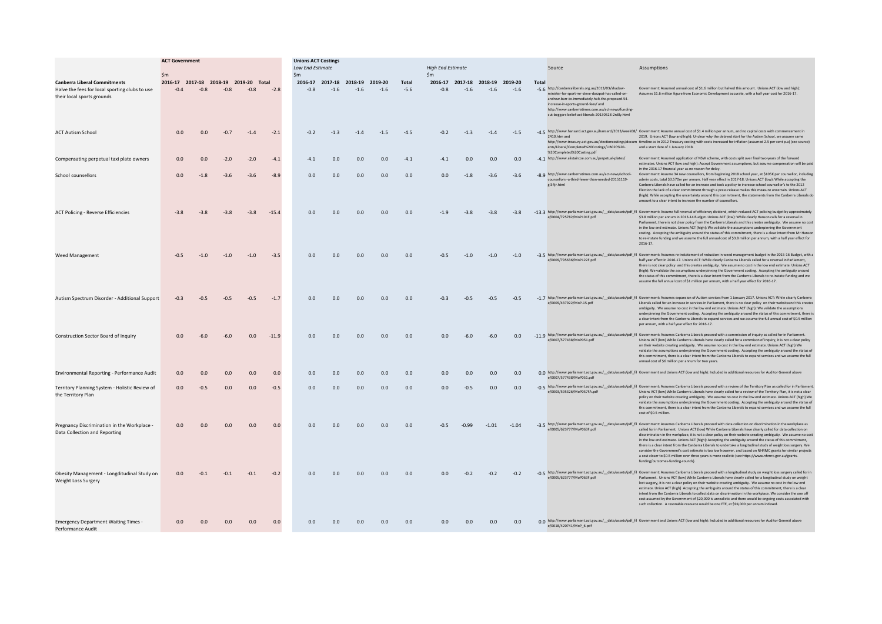|                                                                                                                     | <b>ACT Government</b>                           |        |        |        |         | <b>Unions ACT Costings</b><br><b>High End Estimate</b><br><b>Low End Estimate</b> |        |                                           |        |                 |               |         |                                           |         | Source | Assumptions                                                                                                                                                                                                                                                                                                     |                                                                                                                                                                                                                                                                                                                                                                                                                                                                                                                                                                                                                                                                                                                                                                                                                                                                                                       |
|---------------------------------------------------------------------------------------------------------------------|-------------------------------------------------|--------|--------|--------|---------|-----------------------------------------------------------------------------------|--------|-------------------------------------------|--------|-----------------|---------------|---------|-------------------------------------------|---------|--------|-----------------------------------------------------------------------------------------------------------------------------------------------------------------------------------------------------------------------------------------------------------------------------------------------------------------|-------------------------------------------------------------------------------------------------------------------------------------------------------------------------------------------------------------------------------------------------------------------------------------------------------------------------------------------------------------------------------------------------------------------------------------------------------------------------------------------------------------------------------------------------------------------------------------------------------------------------------------------------------------------------------------------------------------------------------------------------------------------------------------------------------------------------------------------------------------------------------------------------------|
|                                                                                                                     | $\mathsf{Sm}$                                   |        |        |        |         | $\zeta_{\text{rr}}$                                                               |        |                                           |        |                 | $\mathsf{Sm}$ |         |                                           |         |        |                                                                                                                                                                                                                                                                                                                 |                                                                                                                                                                                                                                                                                                                                                                                                                                                                                                                                                                                                                                                                                                                                                                                                                                                                                                       |
| <b>Canberra Liberal Commitments</b><br>Halve the fees for local sporting clubs to use<br>their local sports grounds | 2016-17 2017-18 2018-19 2019-20 Total<br>$-0.4$ | $-0.8$ | $-0.8$ | $-0.8$ | $-2.8$  | $-0.8$                                                                            | $-1.6$ | 2016-17 2017-18 2018-19 2019-20<br>$-1.6$ | $-1.6$ | Total<br>$-5.6$ | $-0.8$        | $-1.6$  | 2016-17 2017-18 2018-19 2019-20<br>$-1.6$ | $-1.6$  | Tota   | -5.6 http://canberraliberals.org.au/2013/03/shadow<br>minister-for-sport-mr-steve-doszpot-has-called-on-<br>andrew-barr-to-immediately-halt-the-proposed-54-<br>increase-in-sports-ground-fees/ and<br>http://www.canberratimes.com.au/act-news/funding-<br>cut-beggars-belief-act-liberals-20130528-2n8ly.html | Government: Assumed annual cost of \$1.6 million but halved this amount. Unions ACT (low and high):<br>Assumes \$1.6 million figure from Economic Development accurate, with a half year cost for 2016-17.                                                                                                                                                                                                                                                                                                                                                                                                                                                                                                                                                                                                                                                                                            |
| <b>ACT Autism Schoo</b>                                                                                             | 0.0                                             | 0.0    | $-0.7$ | $-1.4$ | $-2.1$  | $-0.2$                                                                            | $-1.3$ | $-1.4$                                    | $-1.5$ | $-4.5$          | $-0.2$        | $-1.3$  | $-1.4$                                    | $-1.5$  |        | 2410.htm and<br>ents/Liberal/Completed%20Costings/LIB020%20-<br>%20Completed%20Costing.pdf                                                                                                                                                                                                                      | -4.5 http://www.hansard.act.gov.au/hansard/2013/week08/ Government: Assume annual cost of \$1.4 million per annum, and no capital costs with commencement in<br>2019. Unions ACT (low and high): Unclear why the delayed start for the Autism School, we assume same<br>http://www.treasury.act.gov.au/electioncostings/docum timeline as in 2012 Treasury costing with costs increased for inflation (assumed 2.5 per cent p.a) (see source)<br>and a start date of 1 January 2018.                                                                                                                                                                                                                                                                                                                                                                                                                  |
| Compensating perpetual taxi plate owners                                                                            | 0.0                                             | 0.0    | $-2.0$ | $-2.0$ | $-4.1$  | $-4.1$                                                                            | 0.0    | 0.0                                       | 0.0    | $-4.1$          | $-4.1$        | 0.0     | 0.0                                       | 0.0     |        | -4.1 http://www.alistaircoe.com.au/perpetual-plates/                                                                                                                                                                                                                                                            | Government: Assumed application of NSW scheme, with costs split over final two years of the forward<br>estimates. Unions ACT (low and high): Accept Government assumptions, but assume compensation will be paid<br>in the 2016-17 financial year as no reason for delay.                                                                                                                                                                                                                                                                                                                                                                                                                                                                                                                                                                                                                             |
| School counsellors                                                                                                  | 0.0                                             | $-1.8$ | $-3.6$ | $-3.6$ | $-8.9$  | 0.0                                                                               | 0.0    | 0.0                                       | 0.0    | 0.0             | 0.0           | $-1.8$  | $-3.6$                                    | $-3.6$  |        | -8.9 http://www.canberratimes.com.au/act-news/school-<br>counsellors--a-third-fewer-than-needed-20151119-<br>gl34ir.html                                                                                                                                                                                        | Government: Assume 34 new counsellors, from beginning 2018 school year, at \$105K per counsellor, including<br>admin costs, total \$3,570m per annum. Half year effect in 2017-18. Unions ACT (low): While accepting the<br>Canberra Liberals have called for an increase and took a policy to increase school counsellor's to the 2012<br>Election the lack of a clear commitment through a press release makes this measure uncertain. Unions ACT<br>(high): While accepting the uncertainty around this commitment, the statements from the Canberra Liberals do<br>amount to a clear intent to increase the number of counsellors.                                                                                                                                                                                                                                                                |
| <b>ACT Policing - Reverse Efficiencies</b>                                                                          | $-3.8$                                          | $-3.8$ | $-3.8$ | $-3.8$ | $-15.4$ | 0.0                                                                               | 0.0    | 0.0                                       | 0.0    | 0.0             | $-1.9$        | $-3.8$  | $-3.8$                                    | $-3.8$  |        | e/0004/725782/MoP101F.pdf                                                                                                                                                                                                                                                                                       | -13.3 http://www.parliament.act.gov.au/_data/assets/pdf_fil Government: Assume full reversal of efficiency dividend, which reduced ACT policing budget by approximately<br>\$3.8 million per annum in 2013-14 Budget. Unions ACT (low): While clearly Hanson calls for a reversal in<br>Parliament, there is not clear policy from the Canberra Liberals and this creates ambiguity. We assume no cost<br>in the low end estimate. Unions ACT (high): We validate the assumptions underpinning the Government<br>costing. Accepting the ambiguity around the status of this commitment, there is a clear intent from Mr Hanson<br>to re-instate funding and we assume the full annual cost of \$3.8 million per annum, with a half year effect for<br>2016-17.                                                                                                                                        |
| <b>Weed Management</b>                                                                                              | $-0.5$                                          | $-1.0$ | $-1.0$ | $-1.0$ | $-3.5$  | 0.0                                                                               | 0.0    | 0.0                                       | 0.0    | 0.0             | $-0.5$        | $-1.0$  | $-1.0$                                    | $-1.0$  |        | e/0009/795636/MoP122F.odf                                                                                                                                                                                                                                                                                       | -3.5 http://www.parliament.act.gov.au/_data/assets/pdf_fil Government: Assumes re-instatement of reduction in weed management budget in the 2015-16 Budget, with a<br>half year effect in 2016-17. Unions ACT: While clearly Canberra Liberals called for a reversal in Parliament,<br>there is not clear policy and this creates ambiguity. We assume no cost in the low end estimate. Unions ACT<br>(high): We validate the assumptions underpinning the Government costing. Accepting the ambiguity around<br>the status of this commitment, there is a clear intent from the Canberra Liberals to re-instate funding and we<br>assume the full annual cost of \$1 million per annum, with a half year effect for 2016-17.                                                                                                                                                                         |
| Autism Spectrum Disorder - Additional Support                                                                       | $-0.3$                                          | $-0.5$ | $-0.5$ | $-0.5$ | $-1.7$  | 0.0                                                                               | 0.0    | 0.0                                       | 0.0    | 0.0             | $-0.3$        | $-0.5$  | $-0.5$                                    | $-0.5$  |        | e/0009/437922/MoP-15.pdf                                                                                                                                                                                                                                                                                        | -1.7 http://www.parliament.act.gov.au/_data/assets/pdf_fil Government: Assumes expansion of Autism services from 1 January 2017. Unions ACT: While clearly Canberra<br>Liberals called for an increase in services in Parliament, there is no clear policy on their websiteand this creates<br>ambiguity. We assume no cost in the low end estimate. Unions ACT (high): We validate the assumptions<br>underpinning the Government costing. Accepting the ambiguity around the status of this commitment, there is<br>a clear intent from the Canberra Liberals to expand services and we assume the full annual cost of \$0.5 million<br>per annum, with a half year effect for 2016-17.                                                                                                                                                                                                             |
| Construction Sector Board of Inquiry                                                                                | 0.0                                             | $-6.0$ | $-6.0$ | 0.0    | $-11.9$ | 0.0                                                                               | 0.0    | 0.0                                       | 0.0    | 0.0             | 0.0           | $-6.0$  | $-6.0$                                    | 0.0     |        | e/0007/577438/MoP051.pdf                                                                                                                                                                                                                                                                                        | -11.9 http://www.parliament.act.gov.au/_data/assets/pdf_fil Government: Assumes Canberra Liberals proceed with a commission of inquiry as called for in Parliament.<br>Unions ACT (low) While Canberra Liberals have clearly called for a commison of inquiry, it is not a clear policy<br>on their website creating ambiguity. We assume no cost in the low end estimate. Unions ACT (high) We<br>validate the assumptions underpinning the Government costing. Accepting the ambiguity around the status of<br>this commitment, there is a clear intent from the Canberra Liberals to expand services and we assume the full<br>annual cost of \$6 million per annum for two years.                                                                                                                                                                                                                 |
| Environmental Reporting - Performance Audit                                                                         | 0.0                                             | 0.0    | 0.0    | 0.0    | 0.0     | 0.0                                                                               | 0.0    | 0.0                                       | 0.0    | 0.0             | 0.0           | 0.0     | 0.0                                       | 0.0     |        | e/0007/577438/MoP051.pdf                                                                                                                                                                                                                                                                                        | 0,0 http://www.parliament.act.gov.au/_data/assets/pdf_fil Government and Unions ACT (low and high): Included in additional resources for Auditor General above                                                                                                                                                                                                                                                                                                                                                                                                                                                                                                                                                                                                                                                                                                                                        |
| Territory Planning System - Holistic Review of<br>the Territory Plan                                                | 0.0                                             | $-0.5$ | 0.0    | 0.0    | $-0.5$  | 0.0                                                                               | 0.0    | 0.0                                       | 0.0    | 0.0             | 0.0           | $-0.5$  | 0.0                                       | 0.0     |        | e/0003/595326/MoP057FA.pdf                                                                                                                                                                                                                                                                                      | -0.5 http://www.parliament.act.gov.au/_data/assets/pdf_fil Government: Assumes Canberra Liberals proceed with a review of the Territory Plan as called for in Parliament.<br>Unions ACT (low) While Canberra Liberals have clearly called for a review of the Territory Plan, it is not a clear<br>policy on their website creating ambiguity. We assume no cost in the low end estimate. Unions ACT (high) We<br>validate the assumptions underpinning the Government costing. Accepting the ambiguity around the status of<br>this commitment, there is a clear intent from the Canberra Liberals to expand services and we assume the full<br>cost of \$0.5 million.                                                                                                                                                                                                                               |
| Pregnancy Discrimination in the Workplace -<br>Data Collection and Reporting                                        | 0.0                                             | 0.0    | 0.0    | 0.0    | 0.0     | 0.0                                                                               | 0.0    | 0.0                                       | 0.0    | 0.0             | $-0.5$        | $-0.99$ | $-1.01$                                   | $-1.04$ |        | e/0005/623777/MoP063F.pdf                                                                                                                                                                                                                                                                                       | -3.5 http://www.parliament.act.gov.au/_data/assets/pdf_fil Government: Assumes Canberra Liberals proceed with data collection on discrimination in the workplace as<br>called for in Parliament. Unions ACT (low) While Canberra Liberals have clearly called for data collection on<br>discrimination in the workplace, it is not a clear policy on their website creating ambiguity. We assume no cost<br>in the low end estimate. Unions ACT (high): Accepting the ambiguity around the status of this commitment.<br>there is a clear intent from the Canberra Liberals to undertake a longitudinal study of weightloss surgery. We<br>consider the Government's cost estimate is too low however, and based on NHRMC grants for similar projects<br>a cost closer to \$0.5 million over three years is more realistic (see:https://www.nhmrc.gov.au/grants-<br>funding/outcomes-funding-rounds). |
| Obesity Management - Longditudinal Study on<br>Weight Loss Surgery                                                  | 0.0                                             | $-0.1$ | $-0.1$ | $-0.1$ | $-0.2$  | 0.0                                                                               | 0.0    | 0.0                                       | 0.0    | 0.0             | 0.0           | $-0.2$  | $-0.2$                                    | $-0.2$  |        | e/0005/623777/MoP063F.pdf                                                                                                                                                                                                                                                                                       | -0.5 http://www.parliament.act.gov.au/_data/assets/pdf_fil Government: Assumes Canberra Liberals proceed with a longitudinal study on weight loss surgery called for in<br>Parliament. Unions ACT (low) While Canberra Liberals have clearly called for a longitudinal study on weight<br>lost surgery, it is not a clear policy on their website creating ambiguity. We assume no cost in the low end<br>estimate. Union ACT (high) Accepting the ambiguity around the status of this commitment, there is a clear<br>intent from the Canberra Liberals to collect data on discrimnation in the workplace. We consider the one off<br>cost assumed by the Government of \$20,000 is unrealistic and there would be ongoing costs associated with<br>such collection. A resonable resource would be one FTE, at \$94,000 per annum indexed.                                                           |
| <b>Emergency Department Waiting Times -</b><br>Performance Audit                                                    | 0.0                                             | 0.0    | 0.0    | 0.0    | 0.0     | 0.0                                                                               | 0.0    | 0.0                                       | 0.0    | 0.0             | 0.0           | 0.0     | 0.0                                       | 0.0     |        | e/0018/420741/MoP 6 ndf                                                                                                                                                                                                                                                                                         | 0.0 http://www.parliament.act.gov.au/__data/assets/pdf_fil Government and Unions ACT (low and high): included in additional resources for Auditor General above                                                                                                                                                                                                                                                                                                                                                                                                                                                                                                                                                                                                                                                                                                                                       |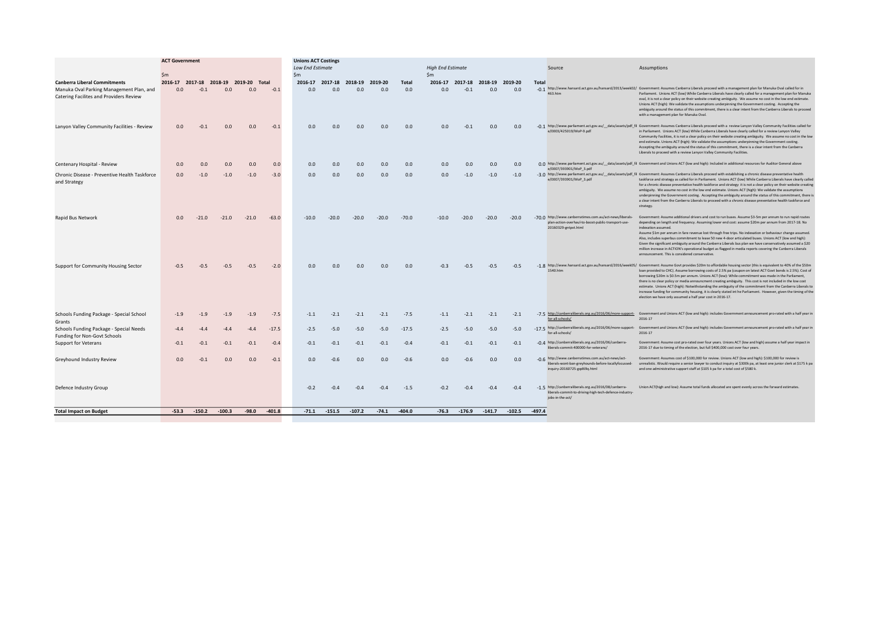|                                                                                     | <b>ACT Government</b><br>$\mathsf{Sm}$ |          |                  |                                       |          | <b>Unions ACT Costings</b><br><b>Low End Estimate</b><br>$\mathsf{Sm}$ |                         |          |                  |          | <b>High End Estimate</b><br>$\mathsf{Sm}$ |          |                                 |          |          | Source                                                                                                                                     | Assumptions                                                                                                                                                                                                                                                                                                                                                                                                                                                                                                                                                                                                                                                                                                                                                                                              |
|-------------------------------------------------------------------------------------|----------------------------------------|----------|------------------|---------------------------------------|----------|------------------------------------------------------------------------|-------------------------|----------|------------------|----------|-------------------------------------------|----------|---------------------------------|----------|----------|--------------------------------------------------------------------------------------------------------------------------------------------|----------------------------------------------------------------------------------------------------------------------------------------------------------------------------------------------------------------------------------------------------------------------------------------------------------------------------------------------------------------------------------------------------------------------------------------------------------------------------------------------------------------------------------------------------------------------------------------------------------------------------------------------------------------------------------------------------------------------------------------------------------------------------------------------------------|
| <b>Canberra Liberal Commitments</b>                                                 |                                        |          |                  | 2016-17 2017-18 2018-19 2019-20 Total |          |                                                                        | 2016-17 2017-18 2018-19 |          | 2019-20          | Total    |                                           |          | 2016-17 2017-18 2018-19 2019-20 |          | Total    |                                                                                                                                            |                                                                                                                                                                                                                                                                                                                                                                                                                                                                                                                                                                                                                                                                                                                                                                                                          |
| Manuka Oval Parking Management Plan, and<br>Catering Facilites and Providers Review | 0.0                                    | $-0.1$   | 0.0              | 0.0                                   | $-0.1$   | 0.0                                                                    | 0.0                     | 0.0      | 0.0              | 0.0      | 0.0                                       | $-0.1$   | 0.0                             | 0.0      |          | 463 htm                                                                                                                                    | -0.1 http://www.hansard.act.gov.au/hansard/2013/week02/ Government: Assumes Canberra Liberals proceed with a management plan for Manuka Oval called for in<br>Parliament. Unions ACT (low) While Canberra Liberals have clearly called for a management plan for Manuka<br>oval, it is not a clear policy on their website creating ambiguity. We assume no cost in the low end estimate.<br>Unions ACT (high): We validate the assumptions underpinning the Government costing. Accepting the<br>ambiguity around the status of this commitment, there is a clear intent from the Canberra Liberals to proceed<br>with a management plan for Manuka Oval.                                                                                                                                               |
| Lanyon Valley Community Facilities - Review                                         | 0.0                                    |          | $-0.1$<br>0.0    | 0.0                                   | $-0.1$   | 0.0                                                                    | 0.0                     | 0.0      | 0.0              | 0.0      | 0.0                                       | $-0.1$   | 0.0                             | 0.0      |          | e/0003/425019/MoP-9.pdf                                                                                                                    | -0 1 http://www.parliament.act.gov.au/_data/assets/pdf_fil Government: Assumes Canberra Liberals proceed with a review Lanyon Valley Community Facilities called for<br>in Parliament. Unions ACT (low) While Canberra Liberals have clearly called for a review Lanyon Valley<br>Community Facilities, it is not a clear policy on their website creating ambiguity. We assume no cost in the low<br>end estimate. Unions ACT (high): We validate the assumptions underpinning the Government costing.<br>Accepting the ambiguity around the status of this commitment, there is a clear intent from the Canberra<br>Liberals to proceed with a review Lanyon Valley Community Facilities.                                                                                                              |
| Centenary Hospital - Review                                                         | 0.0                                    |          | 0.0<br>0.0       | 0.0                                   | 0.0      | 0.0                                                                    | 0.0                     | 0.0      | 0.0              | 0.0      | 0.0                                       | 0.0      | 0.0                             | 0.0      |          | e/0007/393901/MoP 3.pdf                                                                                                                    | 0.0 http://www.parliament.act.gov.au/_data/assets/pdf_fil Government and Unions ACT (low and high): Included in additional resources for Auditor General above                                                                                                                                                                                                                                                                                                                                                                                                                                                                                                                                                                                                                                           |
| Chronic Disease - Preventive Health Taskforce<br>and Strategy                       | 0.0                                    |          | $-1.0$<br>$-1.0$ | $-1.0$                                | $-3.0$   | 0.0                                                                    | 0.0                     | 0.0      | 0.0              | 0.0      | 0.0                                       | $-1.0$   | $-1.0$                          | $-1.0$   |          | e/0007/393901/MoP 3.pdf                                                                                                                    | -3.0 http://www.parliament.act.gov.au/_data/assets/pdf_fil Government: Assumes Canberra Liberals proceed with establishing a chronic disease preventative health<br>taskforce and strategy as called for in Parliament. Unions ACT (low) While Canberra Liberals have clearly called<br>for a chronic disease preventative health taskforce and strategy it is not a clear policy on their website creating<br>ambiguity. We assume no cost in the low end estimate. Unions ACT (high): We validate the assumptions<br>underpinning the Government costing. Accepting the ambiguity around the status of this commitment, there is<br>a clear intent from the Canberra Liberals to proceed with a chronic disease preventative health taskforce and<br>strategy.                                         |
| Rapid Bus Network                                                                   | 0.0                                    | $-21.0$  | $-21.0$          | $-21.0$                               | $-63.0$  | $-10.0$                                                                | $-20.0$                 | $-20.0$  | $-20.0$          | $-70.0$  | $-10.0$                                   | $-20.0$  | $-20.0$                         | $-20.0$  |          | -70.0 http://www.canberratimes.com.au/act-news/liberals-<br>plan-action-overhaul-to-boost-public-transport-use-<br>20160329-gntpvt.html    | Government: Assume additional drivers and cost to run buses. Assume \$3-5m per annum to run rapid routes<br>depending on length and frequency. Assuming lower end cost: assume \$20m per annum from 2017-18. No<br>indexation assumed<br>Assume \$1m per annum in fare revenue lost through free trips. No indexation or behaviour change assumed.<br>Also, includes superbus commitment to lease 50 new 4-door articulated buses. Unions ACT (low and high):<br>Given the significant ambiguity around the Canberra Liberals bus plan we have conservatively assumed a \$20<br>million increase in ACTION's operational budget as flagged in media reports covering the Canberra Liberals<br>announcement. This is considered conservative.                                                             |
| Support for Community Housing Sector                                                | $-0.5$                                 |          | $-0.5$<br>$-0.5$ | $-0.5$                                | $-2.0$   | 0.0                                                                    | 0.0                     | 0.0      | 0.0 <sub>1</sub> | 0.0      | $-0.3$                                    | $-0.5$   | $-0.5$                          | $-0.5$   |          | 1540.htm                                                                                                                                   | -1.8 http://www.hansard.act.gov.au/hansard/2016/week05/ Government: Assume Govt provides \$20m to affordable housing sector (this is equivalent to 40% of the \$50m<br>loan provided to CHC). Assume borrowing costs of 2.5% pa (coupon on latest ACT Govt bonds is 2.5%). Cost of<br>borrowing \$20m is \$0.5m per annum. Unions ACT (low): While commitment was made in the Parliament,<br>there is no clear policy or media announcment creating ambiguity. This cost is not included in the low cost<br>estimate. Unions ACT (high): Notwithstanding the ambiguity of the commitment from the Canberra Liberals to<br>increase funding for community housing, it is clearly stated int he Parliament. However, given the timing of the<br>election we have only assumed a half year cost in 2016-17. |
| Schools Funding Package - Special School<br>Grants                                  | $-1.9$                                 |          | $-1.9$<br>$-1.9$ | $-1.9$                                | $-7.5$   | $-1.1$                                                                 | $-2.1$                  | $-2.1$   | $-2.1$           | $-7.5$   | $-1.1$                                    | $-2.1$   | $-2.1$                          | $-2.1$   |          | for-all-schools/                                                                                                                           | -7.5 http://canberraliberals.org.au/2016/06/more-support- Government and Unions ACT (low and high): includes Government announcement pro-rated with a half year in<br>2016-17                                                                                                                                                                                                                                                                                                                                                                                                                                                                                                                                                                                                                            |
| Schools Funding Package - Special Needs<br>Funding for Non-Govt Schools             | $-4.4$                                 |          | $-4.4$<br>$-4.4$ | $-4.4$                                | $-17.5$  | $-2.5$                                                                 | $-5.0$                  | $-5.0$   | $-5.0$           | $-17.5$  | $-2.5$                                    | $-5.0$   | $-5.0$                          | $-5.0$   |          | for-all-schools/                                                                                                                           | -17.5 http://canberraliberals.org.au/2016/06/more-support- Government and Unions ACT (low and high): includes Government announcement pro-rated with a half year in<br>2016-17                                                                                                                                                                                                                                                                                                                                                                                                                                                                                                                                                                                                                           |
| <b>Support for Veterans</b>                                                         | $-0.1$                                 |          | $-0.1$<br>$-0.1$ | $-0.1$                                | $-0.4$   | $-0.1$                                                                 | $-0.1$                  | $-0.1$   | $-0.1$           | $-0.4$   | $-0.1$                                    | $-0.1$   | $-0.1$                          | $-0.1$   |          | -0.4 http://canberraliberals.org.au/2016/06/canberra-<br>liberals-commit-400000-for-veterans/                                              | Government: Assume cost pro-rated over four years. Unions ACT (low and high) assume a half year impact in<br>2016-17 due to timing of the election, but full \$400,000 cost over four years.                                                                                                                                                                                                                                                                                                                                                                                                                                                                                                                                                                                                             |
| Greyhound Industry Review                                                           | 0.0                                    | $-0.1$   | 0.0              | 0.0                                   | $-0.1$   | 0.0                                                                    | $-0.6$                  | 0.0      | 0.0              | $-0.6$   | 0.0                                       | $-0.6$   | 0.0                             | 0.0      |          | -0.6 http://www.canberratimes.com.au/act-news/act-<br>liberals-wont-ban-greyhounds-before-locallyfocussed-<br>inquiry-20160725-gqd69q.html | Government: Assumes cost of \$100,000 for review. Unions ACT (low and high): \$100,000 for review is<br>unrealistic. Would require a senior lawyer to conduct inquiry at \$300k pa, at least one junior clerk at \$175 k pa<br>and one administrative support staff at \$105 k pa for a total cost of \$580 k.                                                                                                                                                                                                                                                                                                                                                                                                                                                                                           |
| Defence Industry Group                                                              |                                        |          |                  |                                       |          | $-0.2$                                                                 | $-0.4$                  | $-0.4$   | $-0.4$           | $-1.5$   | $-0.2$                                    | $-0.4$   | $-0.4$                          | $-0.4$   |          | -1.5 http://canberraliberals.org.au/2016/08/canberra-<br>liberals-commit-to-driving-high-tech-defence-industry-<br>jobs-in-the-act/        | Union ACT(high and low): Assume total funds allocated are spent evenly across the forward estimates.                                                                                                                                                                                                                                                                                                                                                                                                                                                                                                                                                                                                                                                                                                     |
| <b>Total Impact on Budget</b>                                                       | $-53.3$                                | $-150.2$ | $-100.3$         | $-98.0$                               | $-401.8$ | $-71.1$                                                                | $-151.5$                | $-107.2$ | $-74.1$          | $-404.0$ | $-76.3$                                   | $-176.9$ | $-141.7$                        | $-102.5$ | $-497.4$ |                                                                                                                                            |                                                                                                                                                                                                                                                                                                                                                                                                                                                                                                                                                                                                                                                                                                                                                                                                          |
|                                                                                     |                                        |          |                  |                                       |          |                                                                        |                         |          |                  |          |                                           |          |                                 |          |          |                                                                                                                                            |                                                                                                                                                                                                                                                                                                                                                                                                                                                                                                                                                                                                                                                                                                                                                                                                          |